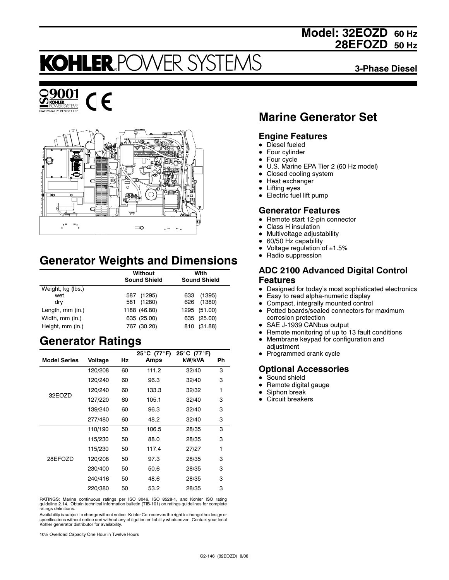# Model: 32EOZD 60 Hz 28EFOZD 50 Hz

# **VER SYSTE KOHLER.POV**

3-Phase Diesel





 $\epsilon$ 

# Generator Weights and Dimensions

|                   | Without<br><b>Sound Shield</b> | With<br><b>Sound Shield</b> |
|-------------------|--------------------------------|-----------------------------|
| Weight, kg (lbs.) |                                |                             |
| wet               | (1295)<br>587                  | (1395)<br>633               |
| dry               | 581 (1280)                     | 626 (1380)                  |
| Length, mm (in.)  | 1188 (46.80)                   | 1295 (51.00)                |
| Width, mm (in.)   | 635 (25.00)                    | 635 (25.00)                 |
| Height, mm (in.)  | 767 (30.20)                    | (31.88)<br>810              |

# Generator Ratings

| <b>Model Series</b> | Voltage | Hz | 25°C (77°F)<br>Amps | 25 $\mathrm{^{\circ}C}$ (77 $\mathrm{^{\circ}F}$ )<br>kW/kVA | Ph |
|---------------------|---------|----|---------------------|--------------------------------------------------------------|----|
|                     | 120/208 | 60 | 111.2               | 32/40                                                        | 3  |
|                     | 120/240 | 60 | 96.3                | 32/40                                                        | 3  |
|                     | 120/240 | 60 | 133.3               | 32/32                                                        | 1  |
| 32EOZD              | 127/220 | 60 | 105.1               | 32/40                                                        | 3  |
|                     | 139/240 | 60 | 96.3                | 32/40                                                        | 3  |
|                     | 277/480 | 60 | 48.2                | 32/40                                                        | 3  |
|                     | 110/190 | 50 | 106.5               | 28/35                                                        | 3  |
|                     | 115/230 | 50 | 88.0                | 28/35                                                        | 3  |
|                     | 115/230 | 50 | 117.4               | 27/27                                                        | 1  |
| 28EFOZD             | 120/208 | 50 | 97.3                | 28/35                                                        | 3  |
|                     | 230/400 | 50 | 50.6                | 28/35                                                        | 3  |
|                     | 240/416 | 50 | 48.6                | 28/35                                                        | 3  |
|                     | 220/380 | 50 | 53.2                | 28/35                                                        | 3  |

RATINGS: Marine continuous ratings per ISO 3046, ISO 8528-1, and Kohler ISO rating guideline 2.14. Obtain technical information bulletin (TIB-101) on ratings guidelines for complete ratings definitions.

Availability is subject to change without notice. Kohler Co. reserves the right to change the design or specifications without notice and without any obligation or liability whatsoever. Contact your local Kohler generator distributor for availability.

10% Overload Capacity One Hour in Twelve Hours

# Marine Generator Set

### Engine Features

- Diesel fueled
- $\bullet$ Four cylinder
- $\bullet$ Four cycle
- $\bullet$ U.S. Marine EPA Tier 2 (60 Hz model)
- $\bullet$ Closed cooling system
- $\bullet$ Heat exchanger
- $\bullet$ Lifting eyes
- Electric fuel lift pump

### Generator Features

- Remote start 12-pin connector
- $\bullet$ Class H insulation
- -Multivoltage adjustability
- $\bullet$ 60/50 Hz capability
- $\bullet$ Voltage regulation of  $±1.5%$
- Radio suppression

### ADC 2100 Advanced Digital Control Features

- Designed for today's most sophisticated electronics
- $\bullet$ Easy to read alpha-numeric display
- -Compact, integrally mounted control
- Potted boards/sealed connectors for maximum corrosion protection
- SAE J-1939 CANbus output
- -Remote monitoring of up to 13 fault conditions
- $\bullet$  Membrane keypad for configuration and adjustment
- Programmed crank cycle

# Optional Accessories

- Sound shield
- $\bullet$ Remote digital gauge
- $\bullet$ Siphon break
- Circuit breakers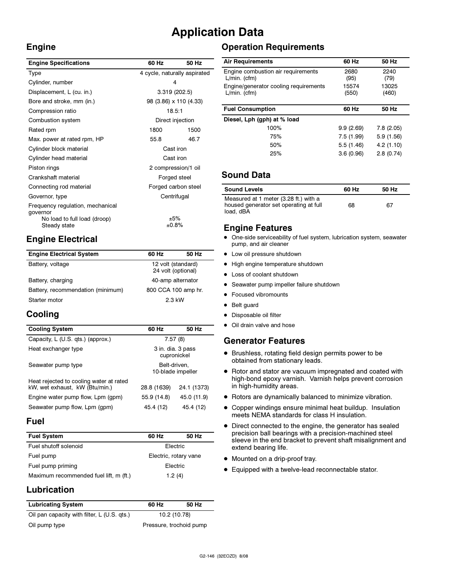# Application Data

## Engine

| <b>Engine Specifications</b>                 | 60 Hz                        | 50 Hz |
|----------------------------------------------|------------------------------|-------|
| Type                                         | 4 cycle, naturally aspirated |       |
| Cylinder, number                             | 4                            |       |
| Displacement, L (cu. in.)                    | 3.319 (202.5)                |       |
| Bore and stroke, mm (in.)                    | 98 (3.86) x 110 (4.33)       |       |
| Compression ratio                            | 18.5:1                       |       |
| Combustion system                            | Direct injection             |       |
| Rated rpm                                    | 1800                         | 1500  |
| Max. power at rated rpm, HP                  | 55.8                         | 46.7  |
| Cylinder block material                      | Cast iron                    |       |
| Cylinder head material                       | Cast iron                    |       |
| Piston rings                                 | 2 compression/1 oil          |       |
| Crankshaft material                          | Forged steel                 |       |
| Connecting rod material                      | Forged carbon steel          |       |
| Governor, type                               | Centrifugal                  |       |
| Frequency regulation, mechanical<br>qovernor |                              |       |
| No load to full load (droop)<br>Steady state | ±5%<br>±0.8%                 |       |
|                                              |                              |       |

# Engine Electrical

| <b>Engine Electrical System</b>   | 60 Hz                                    | 50 Hz |
|-----------------------------------|------------------------------------------|-------|
| Battery, voltage                  | 12 volt (standard)<br>24 volt (optional) |       |
| Battery, charging                 | 40-amp alternator                        |       |
| Battery, recommendation (minimum) | 800 CCA 100 amp hr.                      |       |
| Starter motor                     | 2.3 kW                                   |       |

# Cooling

| <b>Cooling System</b>                                                     | 60 Hz                             | 50 Hz       |  |
|---------------------------------------------------------------------------|-----------------------------------|-------------|--|
| Capacity, L (U.S. qts.) (approx.)                                         | 7.57(8)                           |             |  |
| Heat exchanger type                                                       | 3 in. dia. 3 pass<br>cupronickel  |             |  |
| Seawater pump type                                                        | Belt-driven.<br>10-blade impeller |             |  |
| Heat rejected to cooling water at rated<br>kW, wet exhaust, kW (Btu/min.) | 28.8 (1639)                       | 24.1 (1373) |  |
| Engine water pump flow, Lpm (gpm)                                         | 55.9 (14.8)                       | 45.0 (11.9) |  |
| Seawater pump flow, Lpm (gpm)                                             | 45.4 (12)                         | 45.4 (12)   |  |

## Fuel

| <b>Fuel System</b>                     | 60 Hz                 | 50 Hz |
|----------------------------------------|-----------------------|-------|
| Fuel shutoff solenoid                  | Electric              |       |
| Fuel pump                              | Electric, rotary vane |       |
| Fuel pump priming                      | Electric              |       |
| Maximum recommended fuel lift, m (ft.) | 1.2(4)                |       |

# Lubrication

| <b>Lubricating System</b>                   | 60 Hz                   | 50 Hz |
|---------------------------------------------|-------------------------|-------|
| Oil pan capacity with filter, L (U.S. qts.) | 10.2 (10.78)            |       |
| Oil pump type                               | Pressure, trochoid pump |       |

# Operation Requirements

| <b>Air Requirements</b>                                 | 60 Hz          | 50 Hz          |
|---------------------------------------------------------|----------------|----------------|
| Engine combustion air requirements<br>$L/min.$ (cfm)    | 2680<br>(95)   | 2240<br>(79)   |
| Engine/generator cooling requirements<br>$L/min.$ (cfm) | 15574<br>(550) | 13025<br>(460) |
| <b>Fuel Consumption</b>                                 | 60 Hz          | 50 Hz          |
| Diesel, Lph (gph) at % load                             |                |                |
| 100%                                                    | 9.9(2.69)      | 7.8(2.05)      |
| 75%                                                     | 7.5 (1.99)     | 5.9(1.56)      |
| 50%                                                     | 5.5(1.46)      | 4.2(1.10)      |
| 25%                                                     | 3.6(0.96)      | 2.8(0.74)      |

# Sound Data

| <b>Sound Levels</b>                                                                          | 60 Hz | 50 Hz |
|----------------------------------------------------------------------------------------------|-------|-------|
| Measured at 1 meter (3.28 ft.) with a<br>housed generator set operating at full<br>load, dBA | 68    | 67    |

### Engine Features

- One-side serviceability of fuel system, lubrication system, seawater pump, and air cleaner
- Low oil pressure shutdown
- High engine temperature shutdown
- Loss of coolant shutdown
- **•** Seawater pump impeller failure shutdown
- Focused vibromounts
- Belt guard
- · Disposable oil filter
- Oil drain valve and hose

## Generator Features

- Brushless, rotating field design permits power to be obtained from stationary leads.
- Rotor and stator are vacuum impregnated and coated with high-bond epoxy varnish. Varnish helps prevent corrosion in high-humidity areas.
- Rotors are dynamically balanced to minimize vibration.
- $\bullet$  Copper windings ensure minimal heat buildup. Insulation meets NEMA standards for class H insulation.
- Direct connected to the engine, the generator has sealed precision ball bearings with a precision-machined steel sleeve in the end bracket to prevent shaft misalignment and extend bearing life.
- Mounted on a drip-proof tray.
- **•** Equipped with a twelve-lead reconnectable stator.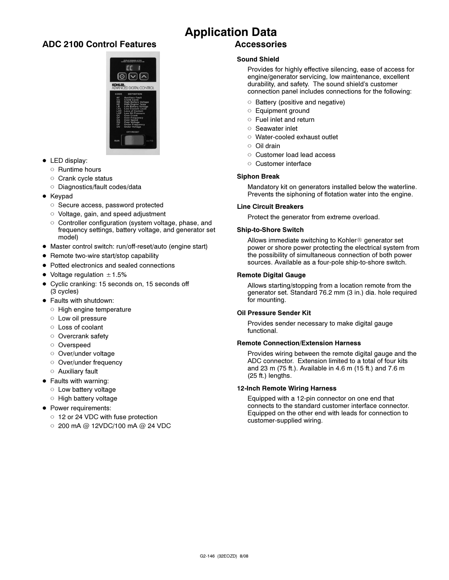## ADC 2100 Control Features



- LED display:
	- o Runtime hours
	- o Crank cycle status
	- o Diagnostics/fault codes/data
- Keypad
	- Secure access, password protected
	- o Voltage, gain, and speed adjustment
	- o Controller configuration (system voltage, phase, and frequency settings, battery voltage, and generator set model)
- Master control switch: run/off-reset/auto (engine start)
- Remote two-wire start/stop capability
- Potted electronics and sealed connections
- $\bullet$  Voltage regulation  $\pm$  1.5%
- Cyclic cranking: 15 seconds on, 15 seconds off (3 cycles)
- Faults with shutdown:
	- $\circ$  High engine temperature
	- o Low oil pressure
	- Loss of coolant
	- o Overcrank safety
	- o Overspeed
	- o Over/under voltage
	- o Over/under frequency
	- Auxiliary fault
- Faults with warning:
	- o Low battery voltage
	- o High battery voltage
- Power requirements:
	- 12 or 24 VDC with fuse protection
	- $\circ$  200 mA @ 12VDC/100 mA @ 24 VDC

### Application Data Accessories

#### Sound Shield

Provides for highly effective silencing, ease of access for engine/generator servicing, low maintenance, excellent durability, and safety. The sound shield's customer connection panel includes connections for the following:

- $\circ$  Battery (positive and negative)
- Equipment ground
- Fuel inlet and return
- o Seawater inlet
- Water-cooled exhaust outlet
- o Oil drain
- o Customer load lead access
- o Customer interface

#### Siphon Break

Mandatory kit on generators installed below the waterline. Prevents the siphoning of flotation water into the engine.

#### Line Circuit Breakers

Protect the generator from extreme overload.

#### Ship-to-Shore Switch

Allows immediate switching to Kohler<sup>®</sup> generator set power or shore power protecting the electrical system from the possibility of simultaneous connection of both power sources. Available as a four-pole ship-to-shore switch.

#### Remote Digital Gauge

Allows starting/stopping from a location remote from the generator set. Standard 76.2 mm (3 in.) dia. hole required for mounting.

#### Oil Pressure Sender Kit

Provides sender necessary to make digital gauge functional.

#### Remote Connection/Extension Harness

Provides wiring between the remote digital gauge and the ADC connector. Extension limited to a total of four kits and 23 m (75 ft.). Available in 4.6 m (15 ft.) and 7.6 m (25 ft.) lengths.

#### 12-Inch Remote Wiring Harness

Equipped with a 12-pin connector on one end that connects to the standard customer interface connector. Equipped on the other end with leads for connection to customer-supplied wiring.